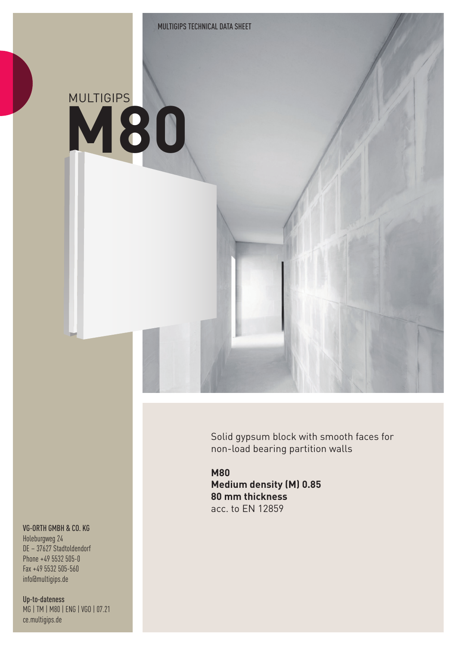# **M80** MULTIGIPS

Solid gypsum block with smooth faces for non-load bearing partition walls

**M80 Medium density (M) 0.85 80 mm thickness** acc. to EN 12859

#### VG-ORTH GMBH & CO. KG

Holeburgweg 24 DE – 37627 Stadtoldendorf Phone +49 5532 505-0 Fax +49 5532 505-560 info@multigips.de

Up-to-dateness MG | TM | M80 | ENG | VGO | 07.21 ce.multigips.de